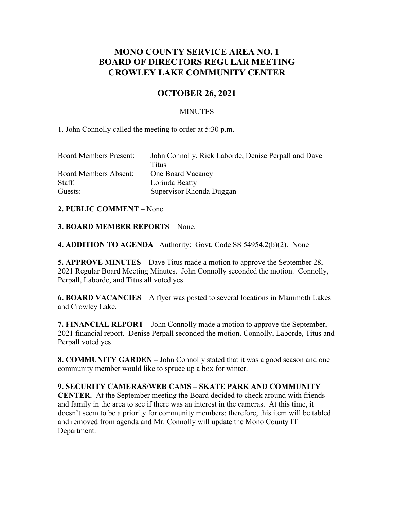# **MONO COUNTY SERVICE AREA NO. 1 BOARD OF DIRECTORS REGULAR MEETING CROWLEY LAKE COMMUNITY CENTER**

## **OCTOBER 26, 2021**

### MINUTES

1. John Connolly called the meeting to order at 5:30 p.m.

| <b>Board Members Present:</b> | John Connolly, Rick Laborde, Denise Perpall and Dave |
|-------------------------------|------------------------------------------------------|
|                               | Titus                                                |
| <b>Board Members Absent:</b>  | One Board Vacancy                                    |
| Staff:                        | Lorinda Beatty                                       |
| Guests:                       | Supervisor Rhonda Duggan                             |

#### **2. PUBLIC COMMENT** – None

#### **3. BOARD MEMBER REPORTS** – None.

**4. ADDITION TO AGENDA** –Authority: Govt. Code SS 54954.2(b)(2). None

**5. APPROVE MINUTES** – Dave Titus made a motion to approve the September 28, 2021 Regular Board Meeting Minutes. John Connolly seconded the motion. Connolly, Perpall, Laborde, and Titus all voted yes.

**6. BOARD VACANCIES** – A flyer was posted to several locations in Mammoth Lakes and Crowley Lake.

**7. FINANCIAL REPORT** – John Connolly made a motion to approve the September, 2021 financial report. Denise Perpall seconded the motion. Connolly, Laborde, Titus and Perpall voted yes.

**8. COMMUNITY GARDEN –** John Connolly stated that it was a good season and one community member would like to spruce up a box for winter.

#### **9. SECURITY CAMERAS/WEB CAMS – SKATE PARK AND COMMUNITY**

**CENTER.** At the September meeting the Board decided to check around with friends and family in the area to see if there was an interest in the cameras. At this time, it doesn't seem to be a priority for community members; therefore, this item will be tabled and removed from agenda and Mr. Connolly will update the Mono County IT Department.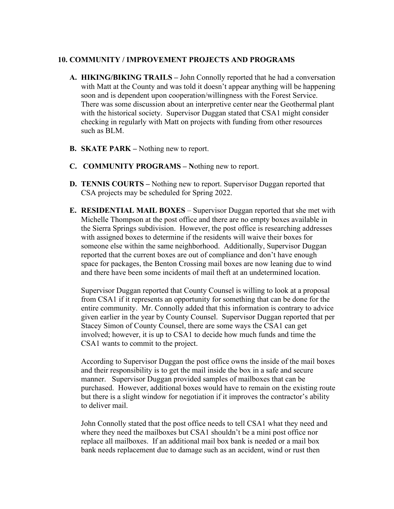#### **10. COMMUNITY / IMPROVEMENT PROJECTS AND PROGRAMS**

- **A. HIKING/BIKING TRAILS –** John Connolly reported that he had a conversation with Matt at the County and was told it doesn't appear anything will be happening soon and is dependent upon cooperation/willingness with the Forest Service. There was some discussion about an interpretive center near the Geothermal plant with the historical society. Supervisor Duggan stated that CSA1 might consider checking in regularly with Matt on projects with funding from other resources such as BLM.
- **B. SKATE PARK –** Nothing new to report.
- **C. COMMUNITY PROGRAMS – N**othing new to report.
- **D. TENNIS COURTS –** Nothing new to report. Supervisor Duggan reported that CSA projects may be scheduled for Spring 2022.
- **E. RESIDENTIAL MAIL BOXES** Supervisor Duggan reported that she met with Michelle Thompson at the post office and there are no empty boxes available in the Sierra Springs subdivision. However, the post office is researching addresses with assigned boxes to determine if the residents will waive their boxes for someone else within the same neighborhood. Additionally, Supervisor Duggan reported that the current boxes are out of compliance and don't have enough space for packages, the Benton Crossing mail boxes are now leaning due to wind and there have been some incidents of mail theft at an undetermined location.

Supervisor Duggan reported that County Counsel is willing to look at a proposal from CSA1 if it represents an opportunity for something that can be done for the entire community. Mr. Connolly added that this information is contrary to advice given earlier in the year by County Counsel. Supervisor Duggan reported that per Stacey Simon of County Counsel, there are some ways the CSA1 can get involved; however, it is up to CSA1 to decide how much funds and time the CSA1 wants to commit to the project.

According to Supervisor Duggan the post office owns the inside of the mail boxes and their responsibility is to get the mail inside the box in a safe and secure manner. Supervisor Duggan provided samples of mailboxes that can be purchased. However, additional boxes would have to remain on the existing route but there is a slight window for negotiation if it improves the contractor's ability to deliver mail.

John Connolly stated that the post office needs to tell CSA1 what they need and where they need the mailboxes but CSA1 shouldn't be a mini post office nor replace all mailboxes. If an additional mail box bank is needed or a mail box bank needs replacement due to damage such as an accident, wind or rust then